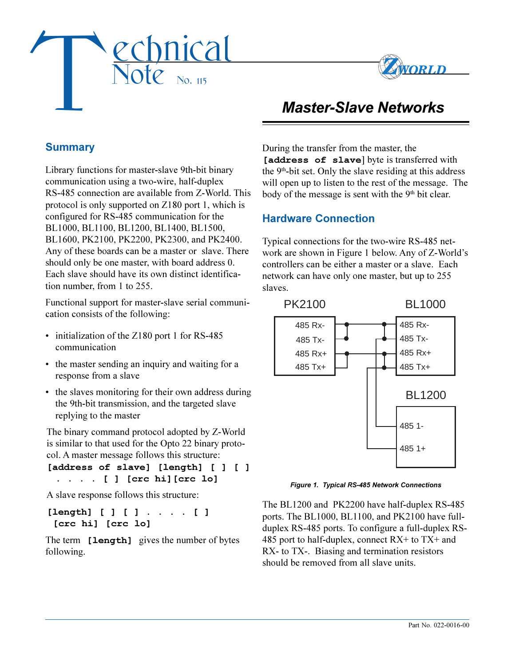



# *Master-Slave Networks*

# **Summary**

Library functions for master-slave 9th-bit binary communication using a two-wire, half-duplex RS-485 connection are available from Z-World. This protocol is only supported on Z180 port 1, which is configured for RS-485 communication for the BL1000, BL1100, BL1200, BL1400, BL1500, BL1600, PK2100, PK2200, PK2300, and PK2400. Any of these boards can be a master or slave. There should only be one master, with board address 0. Each slave should have its own distinct identification number, from 1 to 255.

Functional support for master-slave serial communication consists of the following:

- initialization of the Z180 port 1 for RS-485 communication
- the master sending an inquiry and waiting for a response from a slave
- the slaves monitoring for their own address during the 9th-bit transmission, and the targeted slave replying to the master

The binary command protocol adopted by Z-World is similar to that used for the Opto 22 binary protocol. A master message follows this structure:

**[address of slave] [length] [ ] [ ] . . . . [ ] [crc hi][crc lo]**

A slave response follows this structure:

**[length] [ ] [ ] . . . . [ ] [crc hi] [crc lo]**

The term **[length]** gives the number of bytes following.

During the transfer from the master, the **[address of slave**] byte is transferred with the  $9<sup>th</sup>$ -bit set. Only the slave residing at this address will open up to listen to the rest of the message. The body of the message is sent with the 9<sup>th</sup> bit clear.

## **Hardware Connection**

Typical connections for the two-wire RS-485 network are shown in Figure 1 below. Any of Z-World's controllers can be either a master or a slave. Each network can have only one master, but up to 255 slaves.



*Figure 1. Typical RS-485 Network Connections*

The BL1200 and PK2200 have half-duplex RS-485 ports. The BL1000, BL1100, and PK2100 have fullduplex RS-485 ports. To configure a full-duplex RS-485 port to half-duplex, connect RX+ to TX+ and RX- to TX-. Biasing and termination resistors should be removed from all slave units.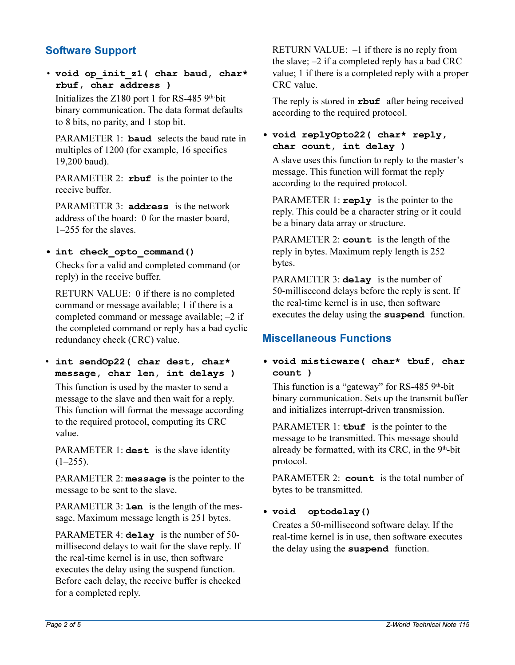# **Software Support**

 **void op\_init\_z1( char baud, char\* rbuf, char address )**

Initializes the  $Z180$  port 1 for RS-485 9<sup>th-</sup>bit binary communication. The data format defaults to 8 bits, no parity, and 1 stop bit.

PARAMETER 1: **baud** selects the baud rate in multiples of 1200 (for example, 16 specifies 19,200 baud).

PARAMETER 2: **rbuf** is the pointer to the receive buffer.

PARAMETER 3: **address** is the network address of the board: 0 for the master board,  $1-255$  for the slaves.

## **int check\_opto\_command()**

Checks for a valid and completed command (or reply) in the receive buffer.

RETURN VALUE: 0 if there is no completed command or message available; 1 if there is a completed command or message available;  $-2$  if the completed command or reply has a bad cyclic redundancy check (CRC) value.

 **int sendOp22( char dest, char\* message, char len, int delays )**

This function is used by the master to send a message to the slave and then wait for a reply. This function will format the message according to the required protocol, computing its CRC value.

PARAMETER 1: **dest** is the slave identity  $(1-255)$ .

PARAMETER 2: **message** is the pointer to the message to be sent to the slave.

PARAMETER 3: **len** is the length of the message. Maximum message length is 251 bytes.

PARAMETER 4: **delay** is the number of 50 millisecond delays to wait for the slave reply. If the real-time kernel is in use, then software executes the delay using the suspend function. Before each delay, the receive buffer is checked for a completed reply.

RETURN VALUE:  $-1$  if there is no reply from the slave;  $-2$  if a completed reply has a bad CRC value; 1 if there is a completed reply with a proper CRC value.

The reply is stored in **rbuf** after being received according to the required protocol.

## **void replyOpto22( char\* reply, char count, int delay )**

A slave uses this function to reply to the master's message. This function will format the reply according to the required protocol.

PARAMETER 1: **reply** is the pointer to the reply. This could be a character string or it could be a binary data array or structure.

PARAMETER 2: **count** is the length of the reply in bytes. Maximum reply length is 252 bytes.

PARAMETER 3: **delay** is the number of 50-millisecond delays before the reply is sent. If the real-time kernel is in use, then software executes the delay using the **suspend** function.

# **Miscellaneous Functions**

## **void misticware( char\* tbuf, char count )**

This function is a "gateway" for RS-485  $9<sup>th</sup>$ -bit binary communication. Sets up the transmit buffer and initializes interrupt-driven transmission.

PARAMETER 1: **tbuf** is the pointer to the message to be transmitted. This message should already be formatted, with its CRC, in the 9<sup>th</sup>-bit protocol.

PARAMETER 2: **count** is the total number of bytes to be transmitted.

## **void optodelay()**

Creates a 50-millisecond software delay. If the real-time kernel is in use, then software executes the delay using the **suspend** function.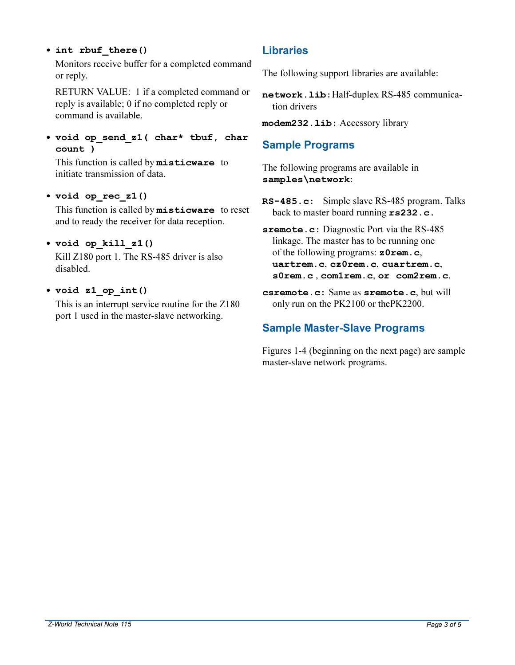## **int rbuf\_there()**

Monitors receive buffer for a completed command or reply.

RETURN VALUE: 1 if a completed command or reply is available; 0 if no completed reply or command is available.

 **void op\_send\_z1( char\* tbuf, char count )**

This function is called by **misticware** to initiate transmission of data.

#### **void op\_rec\_z1()**

This function is called by **misticware** to reset and to ready the receiver for data reception.

#### **void op\_kill\_z1()**

Kill Z180 port 1. The RS-485 driver is also disabled.

## **void z1\_op\_int()**

This is an interrupt service routine for the Z180 port 1 used in the master-slave networking.

# **Libraries**

The following support libraries are available:

**network.lib:**Half-duplex RS-485 communication drivers

**modem232.lib:** Accessory library

# **Sample Programs**

The following programs are available in **samples\network**:

**RS-485.c:** Simple slave RS-485 program. Talks back to master board running **rs232.c.**

**sremote.c:** Diagnostic Port via the RS-485 linkage. The master has to be running one of the following programs: **z0rem.c**, **uartrem.c**, **cz0rem.c**, **cuartrem.c**, **s0rem.c** , **com1rem.c**, **or com2rem.c**.

**csremote.c:** Same as **sremote.c**, but will only run on the PK2100 or thePK2200.

# **Sample Master-Slave Programs**

Figures 1-4 (beginning on the next page) are sample master-slave network programs.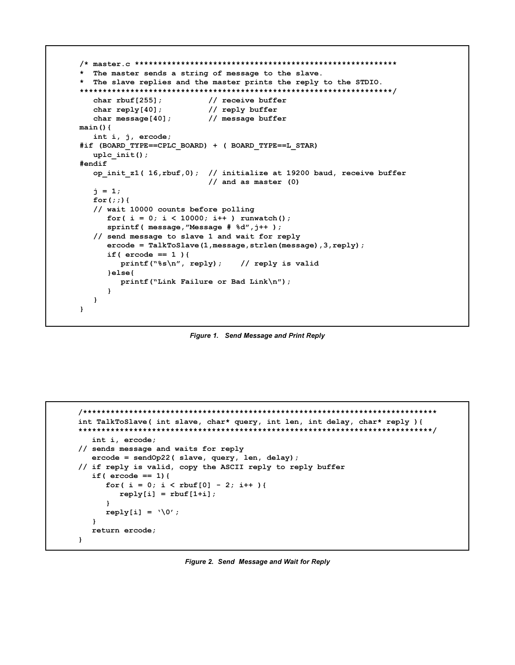```
The master sends a string of message to the slave.
* The slave replies and the master prints the reply to the STDIO.
char rbuf[255];
                          // receive buffer
  char reply[40];
                          // reply buffer
  char message[40];
                          // message buffer
main()int i, j, ercode;#if (BOARD TYPE==CPLC BOARD) + ( BOARD TYPE==L STAR)
   uplc init();
#endif
  op init z1(16, rbuf, 0); // initialize at 19200 baud, receive buffer
                           // and as master (0)j = 1;for(j) {
   // wait 10000 counts before polling
     for(i = 0; i < 10000; i++) runwatch();
     sprintf ( message, "Message # *d", j++ );
   // send message to slave 1 and wait for reply
     \texttt{encode} = \texttt{TalkToSlave}(1, \texttt{message}, \texttt{strlen}(\texttt{message}), 3, \texttt{reply});if ( \text{encode} == 1 ) {
        printf ("s\n', reply);
                                 // reply is valid
     }elseprintf ("Link Failure or Bad Link\n");
     \overline{\mathbf{1}}\mathbf{I}\mathbf{I}
```
Figure 1. Send Message and Print Reply

```
int TalkToSlave( int slave, char* query, int len, int delay, char* reply ){
int i, ercode;
// sends message and waits for reply
  \texttt{encode} = \texttt{sendOp22} (slave, \texttt{query}, \texttt{len}, \texttt{delay});
// if reply is valid, copy the ASCII reply to reply buffer
  if ( \text{encode} == 1 ) {
     for( i = 0; i < \text{rbuf}[0] - 2; i++ ){
       reply[i] = rubif[1+i];\mathbf{L}reply[i] = '\\0',\mathbf{1}return ercode;
\mathbf{L}
```
Figure 2. Send Message and Wait for Reply